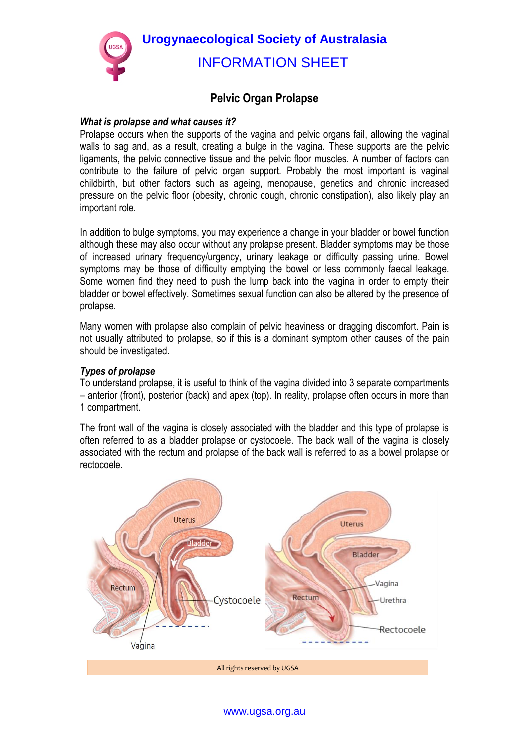

# **Pelvic Organ Prolapse**

### *What is prolapse and what causes it?*

Prolapse occurs when the supports of the vagina and pelvic organs fail, allowing the vaginal walls to sag and, as a result, creating a bulge in the vagina. These supports are the pelvic ligaments, the pelvic connective tissue and the pelvic floor muscles. A number of factors can contribute to the failure of pelvic organ support. Probably the most important is vaginal childbirth, but other factors such as ageing, menopause, genetics and chronic increased pressure on the pelvic floor (obesity, chronic cough, chronic constipation), also likely play an important role.

In addition to bulge symptoms, you may experience a change in your bladder or bowel function although these may also occur without any prolapse present. Bladder symptoms may be those of increased urinary frequency/urgency, urinary leakage or difficulty passing urine. Bowel symptoms may be those of difficulty emptying the bowel or less commonly faecal leakage. Some women find they need to push the lump back into the vagina in order to empty their bladder or bowel effectively. Sometimes sexual function can also be altered by the presence of prolapse.

Many women with prolapse also complain of pelvic heaviness or dragging discomfort. Pain is not usually attributed to prolapse, so if this is a dominant symptom other causes of the pain should be investigated.

## *Types of prolapse*

To understand prolapse, it is useful to think of the vagina divided into 3 separate compartments – anterior (front), posterior (back) and apex (top). In reality, prolapse often occurs in more than 1 compartment.

The front wall of the vagina is closely associated with the bladder and this type of prolapse is often referred to as a bladder prolapse or cystocoele. The back wall of the vagina is closely associated with the rectum and prolapse of the back wall is referred to as a bowel prolapse or rectocoele.



www.ugsa.org.au